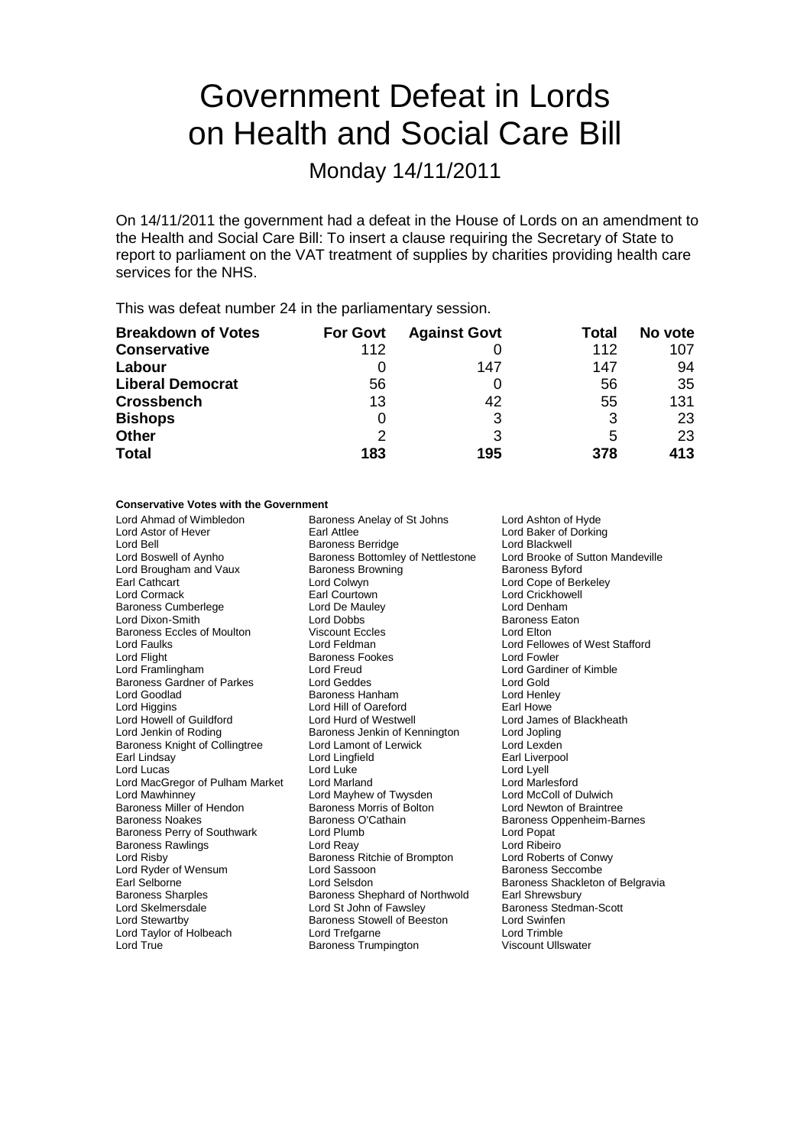# Government Defeat in Lords on Health and Social Care Bill

Monday 14/11/2011

On 14/11/2011 the government had a defeat in the House of Lords on an amendment to the Health and Social Care Bill: To insert a clause requiring the Secretary of State to report to parliament on the VAT treatment of supplies by charities providing health care services for the NHS.

This was defeat number 24 in the parliamentary session.

| <b>Breakdown of Votes</b> | <b>For Govt</b> | <b>Against Govt</b> | Total | No vote |
|---------------------------|-----------------|---------------------|-------|---------|
| <b>Conservative</b>       | 112             |                     | 112   | 107     |
| Labour                    |                 | 147                 | 147   | 94      |
| <b>Liberal Democrat</b>   | 56              |                     | 56    | 35      |
| <b>Crossbench</b>         | 13              | 42                  | 55    | 131     |
| <b>Bishops</b>            | 0               | 3                   | 3     | 23      |
| <b>Other</b>              | 2               | 3                   | 5     | 23      |
| <b>Total</b>              | 183             | 195                 | 378   | 413     |

#### **Conservative Votes with the Government**

| Lord Ahmad of Wimbledon            | Baroness Anelay of St Johns              | Lord Ashton of Hyde              |  |
|------------------------------------|------------------------------------------|----------------------------------|--|
| Lord Astor of Hever                | Earl Attlee<br>Lord Baker of Dorking     |                                  |  |
| Lord Bell                          | <b>Baroness Berridge</b>                 | Lord Blackwell                   |  |
| Lord Boswell of Aynho              | <b>Baroness Bottomley of Nettlestone</b> | Lord Brooke of Sutton Mandeville |  |
| Lord Brougham and Vaux             | <b>Baroness Browning</b>                 | <b>Baroness Byford</b>           |  |
| Earl Cathcart                      | Lord Colwyn                              | Lord Cope of Berkeley            |  |
| Lord Cormack                       | Earl Courtown                            | Lord Crickhowell                 |  |
| <b>Baroness Cumberlege</b>         | Lord De Mauley                           | Lord Denham                      |  |
| Lord Dixon-Smith                   | Lord Dobbs                               | <b>Baroness Eaton</b>            |  |
| <b>Baroness Eccles of Moulton</b>  | <b>Viscount Eccles</b>                   | Lord Elton                       |  |
| Lord Faulks                        | Lord Feldman                             | Lord Fellowes of West Stafford   |  |
| Lord Flight                        | <b>Baroness Fookes</b>                   | Lord Fowler                      |  |
| Lord Framlingham                   | Lord Freud                               | Lord Gardiner of Kimble          |  |
| <b>Baroness Gardner of Parkes</b>  | Lord Geddes                              | Lord Gold                        |  |
| Lord Goodlad                       | Baroness Hanham                          | Lord Henley                      |  |
| Lord Higgins                       | Lord Hill of Oareford                    | Earl Howe                        |  |
| Lord Howell of Guildford           | Lord Hurd of Westwell                    | Lord James of Blackheath         |  |
| Lord Jenkin of Roding              | Baroness Jenkin of Kennington            | Lord Jopling                     |  |
| Baroness Knight of Collingtree     | Lord Lamont of Lerwick                   | Lord Lexden                      |  |
| Earl Lindsay                       | Lord Lingfield                           | Earl Liverpool                   |  |
| Lord Lucas                         | Lord Luke                                | Lord Lyell                       |  |
| Lord MacGregor of Pulham Market    | <b>Lord Marland</b>                      | Lord Marlesford                  |  |
| Lord Mawhinney                     | Lord Mayhew of Twysden                   | Lord McColl of Dulwich           |  |
| Baroness Miller of Hendon          | Baroness Morris of Bolton                | Lord Newton of Braintree         |  |
| <b>Baroness Noakes</b>             | Baroness O'Cathain                       | Baroness Oppenheim-Barnes        |  |
| <b>Baroness Perry of Southwark</b> | Lord Plumb                               | Lord Popat                       |  |
| <b>Baroness Rawlings</b>           | Lord Reay                                | Lord Ribeiro                     |  |
| Lord Risby                         | Baroness Ritchie of Brompton             | Lord Roberts of Conwy            |  |
| Lord Ryder of Wensum               | Lord Sassoon                             | <b>Baroness Seccombe</b>         |  |
| Earl Selborne                      | Lord Selsdon                             | Baroness Shackleton of Belgravia |  |
| <b>Baroness Sharples</b>           | Baroness Shephard of Northwold           | Earl Shrewsbury                  |  |
| Lord Skelmersdale                  | Lord St John of Fawsley                  | Baroness Stedman-Scott           |  |
| Lord Stewartby                     | <b>Baroness Stowell of Beeston</b>       | Lord Swinfen                     |  |
| Lord Taylor of Holbeach            | Lord Trefgarne                           | Lord Trimble                     |  |
| Lord True                          | <b>Baroness Trumpington</b>              | Viscount Ullswater               |  |
|                                    |                                          |                                  |  |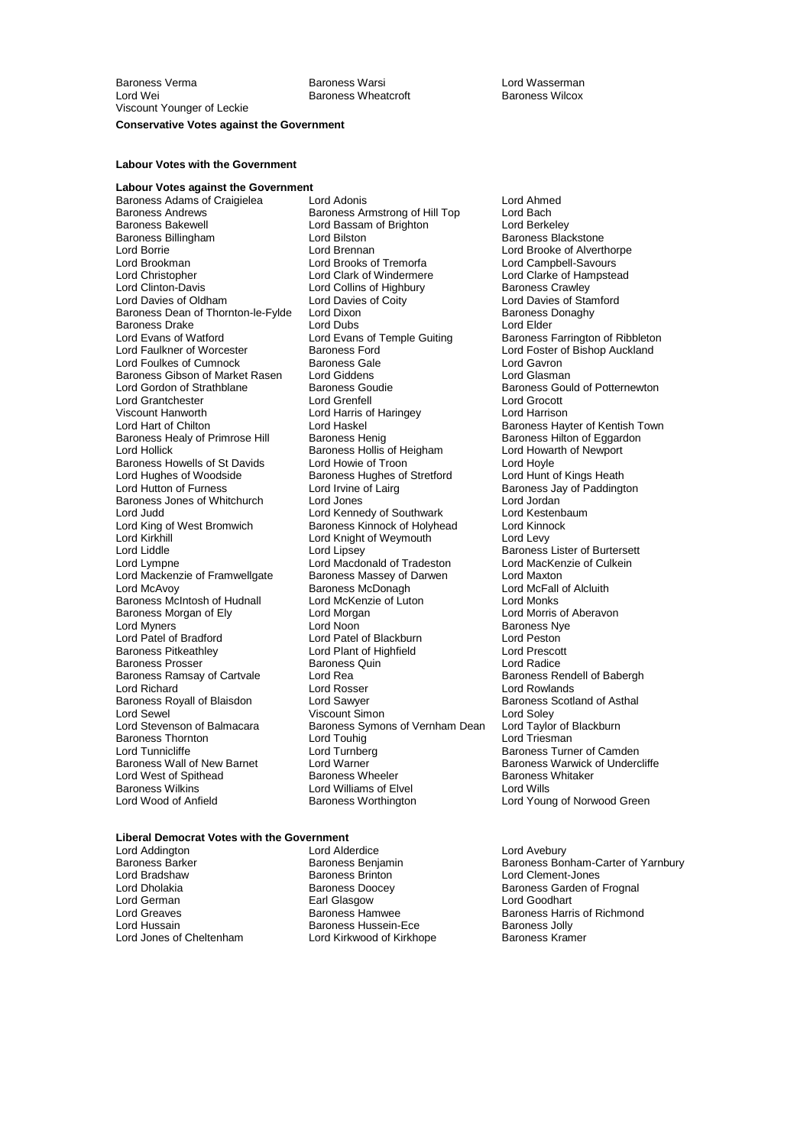Baroness Wheatcroft

## **Conservative Votes against the Government**

#### **Labour Votes with the Government**

**Labour Votes against the Government** Baroness Adams of Craigielea Lord Adonis Lord Ahmed Baroness Bakewell **Researt Constructs** Lord Bassam of Brighton<br>Baroness Billingham **Constructs** Lord Bilston Lord Brookman Lord Brooks of Tremorfa<br>
Lord Christopher Lord Clark of Windermere Lord Evans of Watford **Lord Evans of Temple Guiting**<br>
Lord Faulkner of Worcester **Baroness Ford** Baroness Gibson of Market Rasen Lord Giddens<br>Lord Gordon of Strathblane Baroness Goudie Viscount Hanworth Lord Harris of Haringey<br>
Lord Hart of Chilton Lord Haskel Lord Hughes of Woodside Baroness Hughes of Stretford<br>
Lord Hutton of Furness<br>
Lord Irvine of Laira Lord Judd<br>
Lord Judd<br>
Lord King of West Bromwich<br>
Baroness Kinnock of Holyhe Lord Kirkhill Lord Knight of Weymouth Lord Levy Baroness Morgan of Ely Lord Morgan Baroness Ramsay of Cartvale Lord Rea<br>Lord Richard **Baroness Rendell Cord Rosser** Baroness Thornton Lord Touhig<br>
Lord Tunnicliffe Lord Turnberg Lord West of Spithead<br>Baroness Wilkins Baroness Wilkins Lord Williams of Elvel Lord Wills

Baroness Andrews **Baroness Armstrong of Hill Top** Lord Bach<br>Baroness Bakewell **Bach Lord Bassam of Brighton** Lord Berkeley Baroness Billingham Lord Bilston Baroness Backstone<br>
Lord Brennan Lord Brennan Lord Brooke of Alvert Lord Borrie **Lord Brennan** Lord Brennan Lord Brooke of Alverthorpe<br>
Lord Brookman **Lord Brooks** of Tremorfa Lord Campbell-Savours Lord Christopher **Lord Clark of Windermere** Lord Clarke of Hampstead<br>
Lord Clinton-Davis **Lord Collins of Highbury** Baroness Crawley Lord Clinton-Davis **Lord Collins of Highbury Corporation** Baroness Crawley<br>
Lord Davies of Oldham Lord Davies of Coity Lord Davies of Sta Lord Davies of Coity<br>
Lord Dixon<br>
Baroness Donaghy Baroness Dean of Thornton-le-Fylde Lord Dixon Channess Dean Baroness I<br>Baroness Drake Lord Lord Dubs Dubs Lord Elder Baroness Drake **Lord Clubs** Lord Dubs Lord Elder Lord Elder<br>
Lord Evans of Watford Lord Evans of Temple Guiting Baroness Farrington of Ribbleton **Baroness Ford Community Community** Lord Foster of Bishop Auckland<br> **Baroness Gale** Community Lord Gavron Lord Foulkes of Cumnock **Baroness Gale** Exercise Conditional Cord Gavron<br>Baroness Gibson of Market Rasen Lord Giddens **Lord Glasman** Lord Grantchester Lord Grenfell Lord Grocott Lord Haskel **Example 2018** Baroness Hayter of Kentish Town<br>Baroness Henig Baroness Hilton of Eggardon Baroness Healy of Primrose Hill Baroness Henig Baroness Healy of Primrose Hilton of Eggardoness Hilton of Eggar<br>Lord Hollick Baroness Hollis of Heigham Lord Howarth of Newport Baroness Hollis of Heigham Lord Howarth Lord Howarth Cord Hoyle<br>Lord Howie of Troon Baroness Howells of St Davids Lord Howie of Troon Lord Hoyle<br>
Lord Hughes of Woodside Baroness Hughes of Stretford Lord Hunt of Kings Heath Lord Irvine of Lairg **Baroness Jay of Paddington**<br>
Lord Jones **Contains Lord Irvine Contains Lord Irrine of Paddington** Baroness Jones of Whitchurch Lord Jones Cord Jones Lord Jordan<br>
Lord Judd Lord Kennedy of Southwark Lord Kestenbaum Lord King of West Bromwich Baroness Kinnock of Holyhead Lord Kinnock<br>
Lord Kirkhill Cord Kinght of Weymouth Lord Levy Lord Liddle Lord Lipsey Lord Lipsey Baroness Lister of Burtersett<br>
Lord Lympne Lord Macdonald of Tradeston Lord MacKenzie of Culkein Lord Macdonald of Tradeston Lord Mackenzie of Framwellgate Baroness Massey of Darwen Lord Maxton<br>Lord McAvoy Baroness McDonagh Lord McFall Lord McAvoy Baroness McDonagh Lord McFall of Alcluith Baroness McIntosh of Hudnall Lord McKenzie of Luton Lord Monks<br>Baroness Morgan of Elv Lord Morgan Lord Morgan Lord Morris of Aberavon Lord Myners **Communist Communist Communist Communist Communist Communist Communist Communist Communist Communist Communist Communist Communist Communist Communist Communist Communist Communist Communist Communist Communist** Lord Patel of Blackburn Lord Peston<br>
Lord Plant of Highfield
Lord Prescott **Baroness Pitkeathley Lord Plant of Highfield Lord Prescott Corpus Lord Prescott Corpus Lord Radice**<br>Baroness Prosser **Baroness Quin** Lord Radice Baroness Prosser Baroness Quin Lord Radice Baroness Royall of Blaisdon **Lord Sawyer Lord Sawyer** Baroness Scotland of Asthal Lord Sewel (Viscount Simon Corporation Active Server)<br>
Lord Stevenson of Balmacara (Discount Simons of Vernham Dean Corporation of Blackburn Exaroness Symons of Vernham Dean Lord Taylor of I<br>Lord Touhig Lord Triesman Lord Tunnicliffe Lord Turnberg Communication and Camden<br>Baroness Wall of New Barnet Lord Warner Communication Baroness Warwick of Underc Lord Warner **Communist Communist Communist Communist Communist Communist Communist Communist Communist Communist Communist Communist Communist Communist Communist Communist Communist Communist Communist Communist Communist** 

#### **Liberal Democrat Votes with the Government**

Lord Bradshaw Baroness Brinton Lord Clement-Jones Lord German **Earl Glasgow**<br> **Earl Greaves**<br> **Early Baroness Hamwee** Lord Hussain Baroness Hussein-Ece<br>1994 Lord Jones of Cheltenham Baroness Hussein-Ece

Lord Addington **Lord Alderdice** Lord Avebury<br>
Baroness Barker **Baroness Beniamin**<br>
Baroness Barchess Borness Beniamin Lord Kirkwood of Kirkhope Baroness Kramer

Lord Gordon of Strathblane Baroness Goudie Baroness Gould of Potternewton Lord Rowlands Baroness Worthington **Lord Young of Norwood Green** 

Baroness Barker Baroness Benjamin Baroness Bonham-Carter of Yarnbury<br>
Lord Bradshaw Baroness Brinton Lord Clement-Jo Lord Dholakia **Baroness Doocey** Baroness Doocey<br>
Baroness Garden of Frognal<br>
Baroness Doocey **Baroness Coopey Active Coopey Act Act Coopey**<br>
Lord Goodhart Lord Greaves **Baroness Hamwee** Baroness Hamen Baroness Harris of Richmond<br>
Baroness Hussein-Ece Baroness Jolly